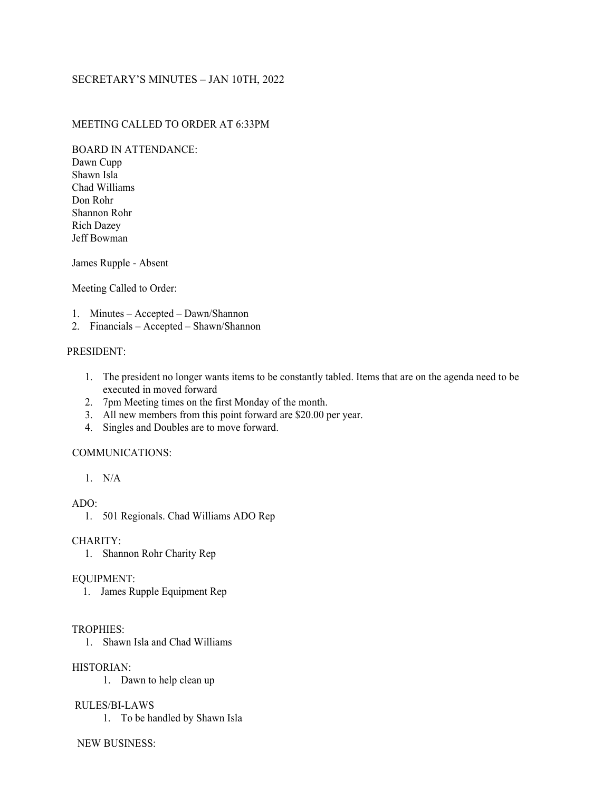# SECRETARY'S MINUTES – JAN 10TH, 2022

## MEETING CALLED TO ORDER AT 6:33PM

BOARD IN ATTENDANCE:

Dawn Cupp Shawn Isla Chad Williams Don Rohr Shannon Rohr Rich Dazey Jeff Bowman

James Rupple - Absent

Meeting Called to Order:

- 1. Minutes Accepted Dawn/Shannon
- 2. Financials Accepted Shawn/Shannon

## PRESIDENT:

- 1. The president no longer wants items to be constantly tabled. Items that are on the agenda need to be executed in moved forward
- 2. 7pm Meeting times on the first Monday of the month.
- 3. All new members from this point forward are \$20.00 per year.
- 4. Singles and Doubles are to move forward.

### COMMUNICATIONS:

1. N/A

ADO:

#### CHARITY:

1. Shannon Rohr Charity Rep

### EQUIPMENT:

1. James Rupple Equipment Rep

#### TROPHIES:

1. Shawn Isla and Chad Williams

HISTORIAN:

1. Dawn to help clean up

## RULES/BI-LAWS

1. To be handled by Shawn Isla

### NEW BUSINESS:

<sup>1.</sup> 501 Regionals. Chad Williams ADO Rep